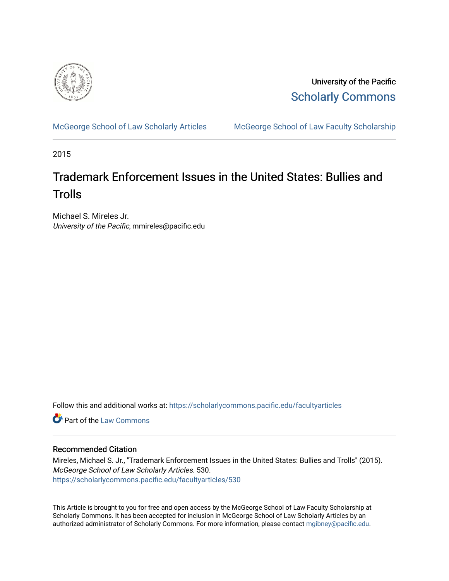

University of the Pacific [Scholarly Commons](https://scholarlycommons.pacific.edu/) 

[McGeorge School of Law Scholarly Articles](https://scholarlycommons.pacific.edu/facultyarticles) [McGeorge School of Law Faculty Scholarship](https://scholarlycommons.pacific.edu/facultyscholarship) 

2015

## Trademark Enforcement Issues in the United States: Bullies and **Trolls**

Michael S. Mireles Jr. University of the Pacific, mmireles@pacific.edu

Follow this and additional works at: [https://scholarlycommons.pacific.edu/facultyarticles](https://scholarlycommons.pacific.edu/facultyarticles?utm_source=scholarlycommons.pacific.edu%2Ffacultyarticles%2F530&utm_medium=PDF&utm_campaign=PDFCoverPages)

**C** Part of the [Law Commons](http://network.bepress.com/hgg/discipline/578?utm_source=scholarlycommons.pacific.edu%2Ffacultyarticles%2F530&utm_medium=PDF&utm_campaign=PDFCoverPages)

#### Recommended Citation

Mireles, Michael S. Jr., "Trademark Enforcement Issues in the United States: Bullies and Trolls" (2015). McGeorge School of Law Scholarly Articles. 530. [https://scholarlycommons.pacific.edu/facultyarticles/530](https://scholarlycommons.pacific.edu/facultyarticles/530?utm_source=scholarlycommons.pacific.edu%2Ffacultyarticles%2F530&utm_medium=PDF&utm_campaign=PDFCoverPages)

This Article is brought to you for free and open access by the McGeorge School of Law Faculty Scholarship at Scholarly Commons. It has been accepted for inclusion in McGeorge School of Law Scholarly Articles by an authorized administrator of Scholarly Commons. For more information, please contact [mgibney@pacific.edu.](mailto:mgibney@pacific.edu)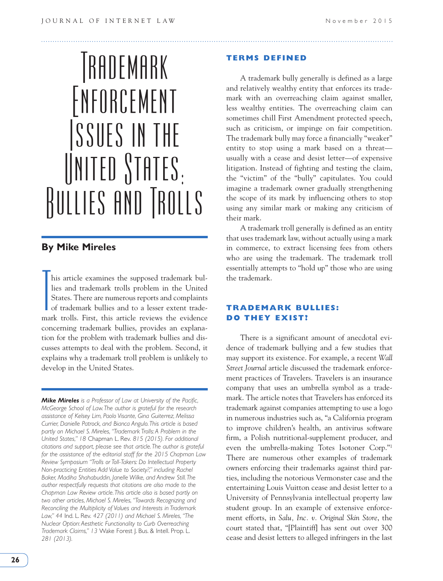# TRADEMARK Enforcement Issues in the  $\parallel$ NITED  $\parallel$ TATES. Bullies and Trolls

## **By Mike Mireles**

T his article examines the supposed trademark bullies and trademark trolls problem in the United States. There are numerous reports and complaints of trademark bullies and to a lesser extent trademark trolls. First, this article reviews the evidence concerning trademark bullies, provides an explanation for the problem with trademark bullies and discusses attempts to deal with the problem. Second, it explains why a trademark troll problem is unlikely to develop in the United States.

*Mike Mireles is a Professor of Law at University of the Pacific, McGeorge School of Law. The author is grateful for the research assistance of Kelsey Lim, Paolo Visante, Gina Guiterrez, Melissa Currier, Danielle Patrock, and Bianca Angulo. This article is based partly on Michael S. Mireles, "Trademark Trolls: A Problem in the United States," 18* Chapman L. Rev. *815 (2015). For additional citations and support, please see that article. The author is grateful for the assistance of the editorial staff for the 2015 Chapman Law Review Symposium "Trolls or Toll-Takers: Do Intellectual Property Non-practicing Entities Add Value to Society?," including Rachel Baker, Madiha Shahabuddin, Janelle Wilke, and Andrew Still. The author respectfully requests that citations are also made to the Chapman Law Review article. This article also is based partly on two other articles, Michael S. Mireles, "Towards Recognizing and Reconciling the Multiplicity of Values and Interests in Trademark Law," 44* Ind. L. Rev. *427 (2011) and Michael S. Mireles, "The Nuclear Option: Aesthetic Functionality to Curb Overreaching Trademark Claims," 13* Wake Forest J. Bus. & Intell. Prop. L. *281 (2013).*

#### **TERMS DEFINED**

A trademark bully generally is defined as a large and relatively wealthy entity that enforces its trademark with an overreaching claim against smaller, less wealthy entities. The overreaching claim can sometimes chill First Amendment protected speech, such as criticism, or impinge on fair competition. The trademark bully may force a financially "weaker" entity to stop using a mark based on a threat usually with a cease and desist letter—of expensive litigation. Instead of fighting and testing the claim, the "victim" of the "bully" capitulates. You could imagine a trademark owner gradually strengthening the scope of its mark by influencing others to stop using any similar mark or making any criticism of their mark.

A trademark troll generally is defined as an entity that uses trademark law, without actually using a mark in commerce, to extract licensing fees from others who are using the trademark. The trademark troll essentially attempts to "hold up" those who are using the trademark.

#### **TRADEMARK BULLIES: DO THEY EXIST?**

There is a significant amount of anecdotal evidence of trademark bullying and a few studies that may support its existence. For example, a recent *Wall Street Journal* article discussed the trademark enforcement practices of Travelers. Travelers is an insurance company that uses an umbrella symbol as a trademark. The article notes that Travelers has enforced its trademark against companies attempting to use a logo in numerous industries such as, "a California program to improve children's health, an antivirus software firm, a Polish nutritional-supplement producer, and even the umbrella-making Totes Isotoner Corp."1 There are numerous other examples of trademark owners enforcing their trademarks against third parties, including the notorious Vermonster case and the entertaining Louis Vuitton cease and desist letter to a University of Pennsylvania intellectual property law student group. In an example of extensive enforcement efforts, in *Salu, Inc. v. Original Skin Store*, the court stated that, "[Plaintiff] has sent out over 300 cease and desist letters to alleged infringers in the last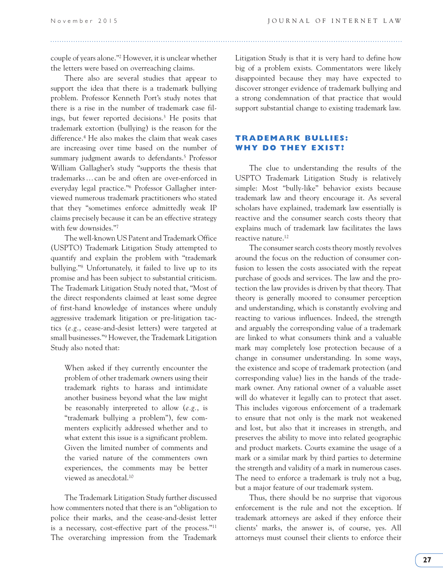couple of years alone."2 However, it is unclear whether the letters were based on overreaching claims.

There also are several studies that appear to support the idea that there is a trademark bullying problem. Professor Kenneth Port's study notes that there is a rise in the number of trademark case filings, but fewer reported decisions.3 He posits that trademark extortion (bullying) is the reason for the difference.<sup>4</sup> He also makes the claim that weak cases are increasing over time based on the number of summary judgment awards to defendants.<sup>5</sup> Professor William Gallagher's study "supports the thesis that trademarks … can be and often are over-enforced in everyday legal practice."6 Professor Gallagher interviewed numerous trademark practitioners who stated that they "sometimes enforce admittedly weak IP claims precisely because it can be an effective strategy with few downsides."7

The well-known US Patent and Trademark Office (USPTO) Trademark Litigation Study attempted to quantify and explain the problem with "trademark bullying."8 Unfortunately, it failed to live up to its promise and has been subject to substantial criticism. The Trademark Litigation Study noted that, "Most of the direct respondents claimed at least some degree of first-hand knowledge of instances where unduly aggressive trademark litigation or pre-litigation tactics (*e.g.*, cease-and-desist letters) were targeted at small businesses."9 However, the Trademark Litigation Study also noted that:

When asked if they currently encounter the problem of other trademark owners using their trademark rights to harass and intimidate another business beyond what the law might be reasonably interpreted to allow (*e.g.*, is "trademark bullying a problem"), few commenters explicitly addressed whether and to what extent this issue is a significant problem. Given the limited number of comments and the varied nature of the commenters own experiences, the comments may be better viewed as anecdotal.10

The Trademark Litigation Study further discussed how commenters noted that there is an "obligation to police their marks, and the cease-and-desist letter is a necessary, cost-effective part of the process."11 The overarching impression from the Trademark Litigation Study is that it is very hard to define how big of a problem exists. Commentators were likely disappointed because they may have expected to discover stronger evidence of trademark bullying and a strong condemnation of that practice that would support substantial change to existing trademark law.

#### **TRADEMARK BULLIES: WHY DO THEY EXIST?**

The clue to understanding the results of the USPTO Trademark Litigation Study is relatively simple: Most "bully-like" behavior exists because trademark law and theory encourage it. As several scholars have explained, trademark law essentially is reactive and the consumer search costs theory that explains much of trademark law facilitates the laws reactive nature.<sup>12</sup>

The consumer search costs theory mostly revolves around the focus on the reduction of consumer confusion to lessen the costs associated with the repeat purchase of goods and services. The law and the protection the law provides is driven by that theory. That theory is generally moored to consumer perception and understanding, which is constantly evolving and reacting to various influences. Indeed, the strength and arguably the corresponding value of a trademark are linked to what consumers think and a valuable mark may completely lose protection because of a change in consumer understanding. In some ways, the existence and scope of trademark protection (and corresponding value) lies in the hands of the trademark owner. Any rational owner of a valuable asset will do whatever it legally can to protect that asset. This includes vigorous enforcement of a trademark to ensure that not only is the mark not weakened and lost, but also that it increases in strength, and preserves the ability to move into related geographic and product markets. Courts examine the usage of a mark or a similar mark by third parties to determine the strength and validity of a mark in numerous cases. The need to enforce a trademark is truly not a bug, but a major feature of our trademark system.

Thus, there should be no surprise that vigorous enforcement is the rule and not the exception. If trademark attorneys are asked if they enforce their clients' marks, the answer is, of course, yes. All attorneys must counsel their clients to enforce their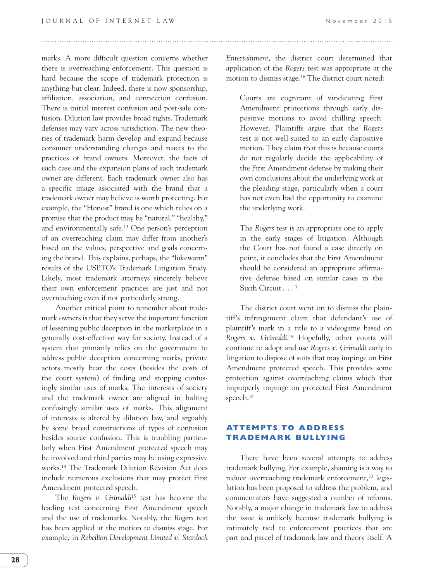marks. A more difficult question concerns whether there is overreaching enforcement. This question is hard because the scope of trademark protection is anything but clear. Indeed, there is now sponsorship, affiliation, association, and connection confusion. There is initial interest confusion and post-sale confusion. Dilution law provides broad rights. Trademark defenses may vary across jurisdiction. The new theories of trademark harm develop and expand because consumer understanding changes and reacts to the practices of brand owners. Moreover, the facts of each case and the expansion plans of each trademark owner are different. Each trademark owner also has a specific image associated with the brand that a trademark owner may believe is worth protecting. For example, the "Honest" brand is one which relies on a promise that the product may be "natural," "healthy," and environmentally safe.13 One person's perception of an overreaching claim may differ from another's based on the values, perspective and goals concerning the brand. This explains, perhaps, the "lukewarm" results of the USPTO's Trademark Litigation Study. Likely, most trademark attorneys sincerely believe their own enforcement practices are just and not overreaching even if not particularly strong.

Another critical point to remember about trademark owners is that they serve the important function of lessening public deception in the marketplace in a generally cost-effective way for society. Instead of a system that primarily relies on the government to address public deception concerning marks, private actors mostly bear the costs (besides the costs of the court system) of finding and stopping confusingly similar uses of marks. The interests of society and the trademark owner are aligned in halting confusingly similar uses of marks. This alignment of interests is altered by dilution law, and arguably by some broad constructions of types of confusion besides source confusion. This is troubling particularly when First Amendment protected speech may be involved and third parties may be using expressive works.14 The Trademark Dilution Revision Act does include numerous exclusions that may protect First Amendment protected speech.

The *Rogers v. Grimaldi*15 test has become the leading test concerning First Amendment speech and the use of trademarks. Notably, the *Rogers* test has been applied at the motion to dismiss stage. For example, in *Rebellion Development Limited v. Stardock*  *Entertainment*, the district court determined that application of the *Rogers* test was appropriate at the motion to dismiss stage.16 The district court noted:

Courts are cognizant of vindicating First Amendment protections through early dispositive motions to avoid chilling speech. However, Plaintiffs argue that the *Rogers* test is not well-suited to an early dispositive motion. They claim that this is because courts do not regularly decide the applicability of the First Amendment defense by making their own conclusions about the underlying work at the pleading stage, particularly when a court has not even had the opportunity to examine the underlying work.

The *Rogers* test is an appropriate one to apply in the early stages of litigation. Although the Court has not found a case directly on point, it concludes that the First Amendment should be considered an appropriate affirmative defense based on similar cases in the Sixth Circuit … .17

The district court went on to dismiss the plaintiff's infringement claim that defendant's use of plaintiff's mark in a title to a videogame based on *Rogers v. Grimaldi*. 18 Hopefully, other courts will continue to adopt and use *Rogers v. Grimaldi* early in litigation to dispose of suits that may impinge on First Amendment protected speech. This provides some protection against overreaching claims which that improperly impinge on protected First Amendment speech.19

#### **ATTEMPTS TO ADDRESS TRADEMARK BULLYING**

There have been several attempts to address trademark bullying. For example, shaming is a way to reduce overreaching trademark enforcement,<sup>20</sup> legislation has been proposed to address the problem, and commentators have suggested a number of reforms. Notably, a major change in trademark law to address the issue is unlikely because trademark bullying is intimately tied to enforcement practices that are part and parcel of trademark law and theory itself. A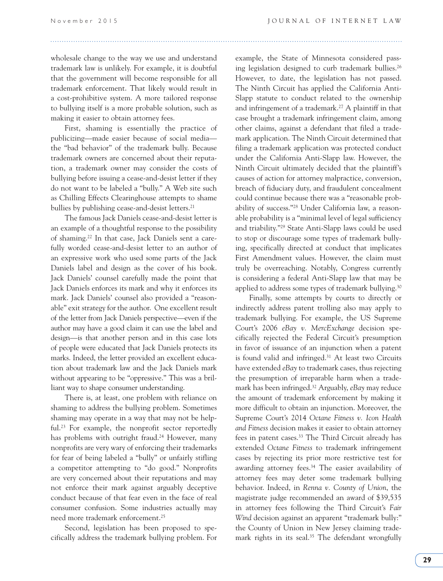### wholesale change to the way we use and understand trademark law is unlikely. For example, it is doubtful that the government will become responsible for all trademark enforcement. That likely would result in a cost-prohibitive system. A more tailored response to bullying itself is a more probable solution, such as making it easier to obtain attorney fees.

First, shaming is essentially the practice of publicizing—made easier because of social media the "bad behavior" of the trademark bully. Because trademark owners are concerned about their reputation, a trademark owner may consider the costs of bullying before issuing a cease-and-desist letter if they do not want to be labeled a "bully." A Web site such as Chilling Effects Clearinghouse attempts to shame bullies by publishing cease-and-desist letters.<sup>21</sup>

The famous Jack Daniels cease-and-desist letter is an example of a thoughtful response to the possibility of shaming.22 In that case, Jack Daniels sent a carefully worded cease-and-desist letter to an author of an expressive work who used some parts of the Jack Daniels label and design as the cover of his book. Jack Daniels' counsel carefully made the point that Jack Daniels enforces its mark and why it enforces its mark. Jack Daniels' counsel also provided a "reasonable" exit strategy for the author. One excellent result of the letter from Jack Daniels perspective—even if the author may have a good claim it can use the label and design—is that another person and in this case lots of people were educated that Jack Daniels protects its marks. Indeed, the letter provided an excellent education about trademark law and the Jack Daniels mark without appearing to be "oppressive." This was a brilliant way to shape consumer understanding.

There is, at least, one problem with reliance on shaming to address the bullying problem. Sometimes shaming may operate in a way that may not be helpful.23 For example, the nonprofit sector reportedly has problems with outright fraud.<sup>24</sup> However, many nonprofits are very wary of enforcing their trademarks for fear of being labeled a "bully" or unfairly stifling a competitor attempting to "do good." Nonprofits are very concerned about their reputations and may not enforce their mark against arguably deceptive conduct because of that fear even in the face of real consumer confusion. Some industries actually may need more trademark enforcement.25

Second, legislation has been proposed to specifically address the trademark bullying problem. For example, the State of Minnesota considered passing legislation designed to curb trademark bullies.<sup>26</sup> However, to date, the legislation has not passed. The Ninth Circuit has applied the California Anti-Slapp statute to conduct related to the ownership and infringement of a trademark.27 A plaintiff in that case brought a trademark infringement claim, among other claims, against a defendant that filed a trademark application. The Ninth Circuit determined that filing a trademark application was protected conduct under the California Anti-Slapp law. However, the Ninth Circuit ultimately decided that the plaintiff's causes of action for attorney malpractice, conversion, breach of fiduciary duty, and fraudulent concealment could continue because there was a "reasonable probability of success."28 Under California law, a reasonable probability is a "minimal level of legal sufficiency and triability."29 State Anti-Slapp laws could be used to stop or discourage some types of trademark bullying, specifically directed at conduct that implicates First Amendment values. However, the claim must truly be overreaching. Notably, Congress currently is considering a federal Anti-Slapp law that may be applied to address some types of trademark bullying.<sup>30</sup>

Finally, some attempts by courts to directly or indirectly address patent trolling also may apply to trademark bullying. For example, the US Supreme Court's 2006 *eBay v. MercExchange* decision specifically rejected the Federal Circuit's presumption in favor of issuance of an injunction when a patent is found valid and infringed.<sup>31</sup> At least two Circuits have extended *eBay* to trademark cases, thus rejecting the presumption of irreparable harm when a trademark has been infringed.32 Arguably, *eBay* may reduce the amount of trademark enforcement by making it more difficult to obtain an injunction. Moreover, the Supreme Court's 2014 *Octane Fitness v. Icon Health and Fitness* decision makes it easier to obtain attorney fees in patent cases.33 The Third Circuit already has extended *Octane Fitness* to trademark infringement cases by rejecting its prior more restrictive test for awarding attorney fees.34 The easier availability of attorney fees may deter some trademark bullying behavior. Indeed, in *Renna v. County of Union*, the magistrate judge recommended an award of \$39,535 in attorney fees following the Third Circuit's *Fair Wind* decision against an apparent "trademark bully:" the County of Union in New Jersey claiming trademark rights in its seal.<sup>35</sup> The defendant wrongfully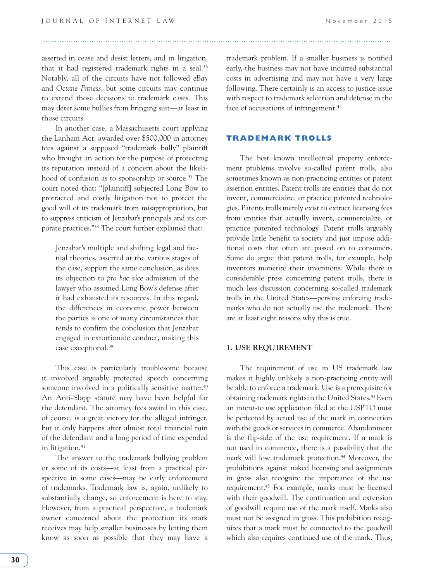asserted in cease and desist letters, and in litigation, that it had registered trademark rights in a seal.<sup>36</sup> Notably, all of the circuits have not followed *eBay*  and *Octane Fitness*, but some circuits may continue to extend those decisions to trademark cases. This may deter some bullies from bringing suit—at least in those circuits.

In another case, a Massachusetts court applying the Lanham Act, awarded over \$500,000 in attorney fees against a supposed "trademark bully" plaintiff who brought an action for the purpose of protecting its reputation instead of a concern about the likelihood of confusion as to sponsorship or source.<sup>37</sup> The court noted that: "[plaintiff] subjected Long Bow to protracted and costly litigation not to protect the good will of its trademark from misappropriation, but to suppress criticism of Jenzabar's principals and its corporate practices."38 The court further explained that:

Jenzabar's multiple and shifting legal and factual theories, asserted at the various stages of the case, support the same conclusion, as does its objection to *pro hac vice* admission of the lawyer who assumed Long Bow's defense after it had exhausted its resources. In this regard, the differences in economic power between the parties is one of many circumstances that tends to confirm the conclusion that Jenzabar engaged in extortionate conduct, making this case exceptional.39

This case is particularly troublesome because it involved arguably protected speech concerning someone involved in a politically sensitive matter.<sup>40</sup> An Anti-Slapp statute may have been helpful for the defendant. The attorney fees award in this case, of course, is a great victory for the alleged infringer, but it only happens after almost total financial ruin of the defendant and a long period of time expended in litigation.<sup>41</sup>

The answer to the trademark bullying problem or some of its costs—at least from a practical perspective in some cases—may be early enforcement of trademarks. Trademark law is, again, unlikely to substantially change, so enforcement is here to stay. However, from a practical perspective, a trademark owner concerned about the protection its mark receives may help smaller businesses by letting them know as soon as possible that they may have a trademark problem. If a smaller business is notified early, the business may not have incurred substantial costs in advertising and may not have a very large following. There certainly is an access to justice issue with respect to trademark selection and defense in the face of accusations of infringement.<sup>42</sup>

#### **TRADEMARK TROLLS**

The best known intellectual property enforcement problems involve so-called patent trolls, also sometimes known as non-practicing entities or patent assertion entities. Patent trolls are entities that do not invent, commercialize, or practice patented technologies. Patents trolls merely exist to extract licensing fees from entities that actually invent, commercialize, or practice patented technology. Patent trolls arguably provide little benefit to society and just impose additional costs that often are passed on to consumers. Some do argue that patent trolls, for example, help inventors monetize their inventions. While there is considerable press concerning patent trolls, there is much less discussion concerning so-called trademark trolls in the United States—persons enforcing trademarks who do not actually use the trademark. There are at least eight reasons why this is true.

#### **1. USE REQUIREMENT**

The requirement of use in US trademark law makes it highly unlikely a non-practicing entity will be able to enforce a trademark. Use is a prerequisite for obtaining trademark rights in the United States.<sup>43</sup> Even an intent-to use application filed at the USPTO must be perfected by actual use of the mark in connection with the goods or services in commerce. Abandonment is the flip-side of the use requirement. If a mark is not used in commerce, there is a possibility that the mark will lose trademark protection.<sup>44</sup> Moreover, the prohibitions against naked licensing and assignments in gross also recognize the importance of the use requirement.45 For example, marks must be licensed with their goodwill. The continuation and extension of goodwill require use of the mark itself. Marks also must not be assigned in gross. This prohibition recognizes that a mark must be connected to the goodwill which also requires continued use of the mark. Thus,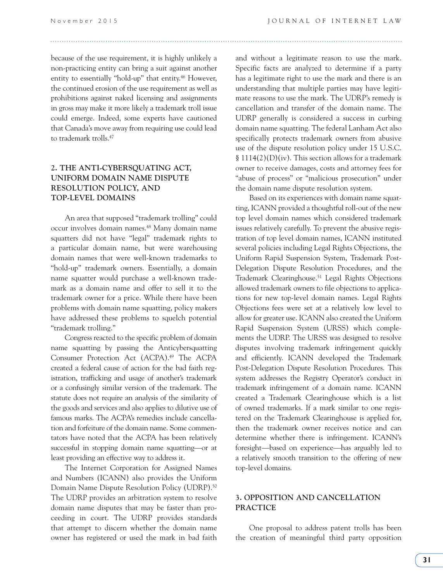because of the use requirement, it is highly unlikely a non-practicing entity can bring a suit against another entity to essentially "hold-up" that entity.46 However, the continued erosion of the use requirement as well as prohibitions against naked licensing and assignments in gross may make it more likely a trademark troll issue could emerge. Indeed, some experts have cautioned that Canada's move away from requiring use could lead to trademark trolls.47

#### **2. THE ANTI-CYBERSQUATING ACT, UNIFORM DOMAIN NAME DISPUTE RESOLUTION POLICY, AND TOP-LEVEL DOMAINS**

An area that supposed "trademark trolling" could occur involves domain names.48 Many domain name squatters did not have "legal" trademark rights to a particular domain name, but were warehousing domain names that were well-known trademarks to "hold-up" trademark owners. Essentially, a domain name squatter would purchase a well-known trademark as a domain name and offer to sell it to the trademark owner for a price. While there have been problems with domain name squatting, policy makers have addressed these problems to squelch potential "trademark trolling."

Congress reacted to the specific problem of domain name squatting by passing the Anticybersquatting Consumer Protection Act (ACPA).49 The ACPA created a federal cause of action for the bad faith registration, trafficking and usage of another's trademark or a confusingly similar version of the trademark. The statute does not require an analysis of the similarity of the goods and services and also applies to dilutive use of famous marks. The ACPA's remedies include cancellation and forfeiture of the domain name. Some commentators have noted that the ACPA has been relatively successful in stopping domain name squatting—or at least providing an effective way to address it.

The Internet Corporation for Assigned Names and Numbers (ICANN) also provides the Uniform Domain Name Dispute Resolution Policy (UDRP).50 The UDRP provides an arbitration system to resolve domain name disputes that may be faster than proceeding in court. The UDRP provides standards that attempt to discern whether the domain name owner has registered or used the mark in bad faith and without a legitimate reason to use the mark. Specific facts are analyzed to determine if a party has a legitimate right to use the mark and there is an understanding that multiple parties may have legitimate reasons to use the mark. The UDRP's remedy is cancellation and transfer of the domain name. The UDRP generally is considered a success in curbing domain name squatting. The federal Lanham Act also specifically protects trademark owners from abusive use of the dispute resolution policy under 15 U.S.C. § 1114(2)(D)(iv). This section allows for a trademark owner to receive damages, costs and attorney fees for "abuse of process" or "malicious prosecution" under the domain name dispute resolution system.

Based on its experiences with domain name squatting, ICANN provided a thoughtful roll-out of the new top level domain names which considered trademark issues relatively carefully. To prevent the abusive registration of top level domain names, ICANN instituted several policies including Legal Rights Objections, the Uniform Rapid Suspension System, Trademark Post-Delegation Dispute Resolution Procedures, and the Trademark Clearinghouse.51 Legal Rights Objections allowed trademark owners to file objections to applications for new top-level domain names. Legal Rights Objections fees were set at a relatively low level to allow for greater use. ICANN also created the Uniform Rapid Suspension System (URSS) which complements the UDRP. The URSS was designed to resolve disputes involving trademark infringement quickly and efficiently. ICANN developed the Trademark Post-Delegation Dispute Resolution Procedures. This system addresses the Registry Operator's conduct in trademark infringement of a domain name. ICANN created a Trademark Clearinghouse which is a list of owned trademarks. If a mark similar to one registered on the Trademark Clearinghouse is applied for, then the trademark owner receives notice and can determine whether there is infringement. ICANN's foresight—based on experience—has arguably led to a relatively smooth transition to the offering of new top-level domains.

#### **3. OPPOSITION AND CANCELLATION PRACTICE**

One proposal to address patent trolls has been the creation of meaningful third party opposition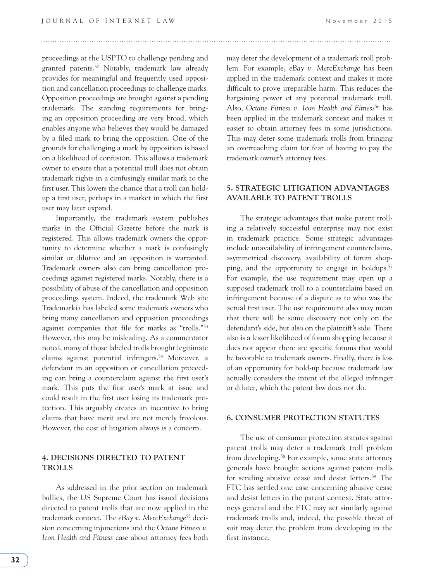proceedings at the USPTO to challenge pending and granted patents.52 Notably, trademark law already provides for meaningful and frequently used opposition and cancellation proceedings to challenge marks. Opposition proceedings are brought against a pending trademark. The standing requirements for bringing an opposition proceeding are very broad, which enables anyone who believes they would be damaged by a filed mark to bring the opposition. One of the grounds for challenging a mark by opposition is based on a likelihood of confusion. This allows a trademark owner to ensure that a potential troll does not obtain trademark rights in a confusingly similar mark to the first user. This lowers the chance that a troll can holdup a first user, perhaps in a market in which the first user may later expand.

Importantly, the trademark system publishes marks in the Official Gazette before the mark is registered. This allows trademark owners the opportunity to determine whether a mark is confusingly similar or dilutive and an opposition is warranted. Trademark owners also can bring cancellation proceedings against registered marks. Notably, there is a possibility of abuse of the cancellation and opposition proceedings system. Indeed, the trademark Web site Trademarkia has labeled some trademark owners who bring many cancellation and opposition proceedings against companies that file for marks as "trolls."53 However, this may be misleading. As a commentator noted, many of those labeled trolls brought legitimate claims against potential infringers.54 Moreover, a defendant in an opposition or cancellation proceeding can bring a counterclaim against the first user's mark. This puts the first user's mark at issue and could result in the first user losing its trademark protection. This arguably creates an incentive to bring claims that have merit and are not merely frivolous. However, the cost of litigation always is a concern.

#### **4. DECISIONS DIRECTED TO PATENT TROLLS**

As addressed in the prior section on trademark bullies, the US Supreme Court has issued decisions directed to patent trolls that are now applied in the trademark context. The *eBay v. MercExchange*<sup>55</sup> decision concerning injunctions and the *Octane Fitness v. Icon Health and Fitness* case about attorney fees both may deter the development of a trademark troll problem. For example, *eBay v. MercExchange* has been applied in the trademark context and makes it more difficult to prove irreparable harm. This reduces the bargaining power of any potential trademark troll. Also, Octane Fitness v. Icon Health and Fitness<sup>56</sup> has been applied in the trademark context and makes it easier to obtain attorney fees in some jurisdictions. This may deter some trademark trolls from bringing an overreaching claim for fear of having to pay the trademark owner's attorney fees.

#### **5. STRATEGIC LITIGATION ADVANTAGES AVAILABLE TO PATENT TROLLS**

The strategic advantages that make patent trolling a relatively successful enterprise may not exist in trademark practice. Some strategic advantages include unavailability of infringement counterclaims, asymmetrical discovery, availability of forum shopping, and the opportunity to engage in holdups.<sup>57</sup> For example, the use requirement may open up a supposed trademark troll to a counterclaim based on infringement because of a dispute as to who was the actual first user. The use requirement also may mean that there will be some discovery not only on the defendant's side, but also on the plaintiff's side. There also is a lesser likelihood of forum shopping because it does not appear there are specific forums that would be favorable to trademark owners. Finally, there is less of an opportunity for hold-up because trademark law actually considers the intent of the alleged infringer or diluter, which the patent law does not do.

#### **6. CONSUMER PROTECTION STATUTES**

The use of consumer protection statutes against patent trolls may deter a trademark troll problem from developing.58 For example, some state attorney generals have brought actions against patent trolls for sending abusive cease and desist letters.<sup>59</sup> The FTC has settled one case concerning abusive cease and desist letters in the patent context. State attorneys general and the FTC may act similarly against trademark trolls and, indeed, the possible threat of suit may deter the problem from developing in the first instance.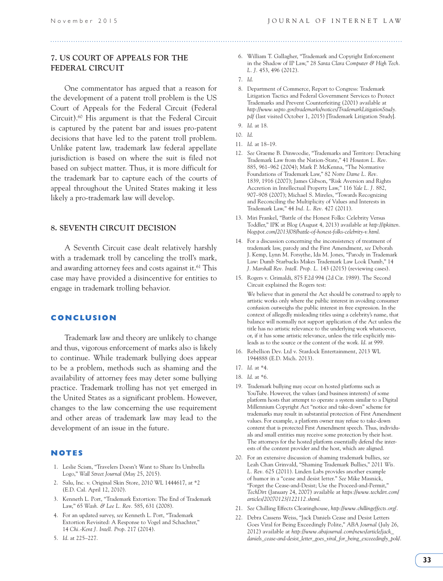#### **7. US COURT OF APPEALS FOR THE FEDERAL CIRCUIT**

One commentator has argued that a reason for the development of a patent troll problem is the US Court of Appeals for the Federal Circuit (Federal Circuit).60 His argument is that the Federal Circuit is captured by the patent bar and issues pro-patent decisions that have led to the patent troll problem. Unlike patent law, trademark law federal appellate jurisdiction is based on where the suit is filed not based on subject matter. Thus, it is more difficult for the trademark bar to capture each of the courts of appeal throughout the United States making it less likely a pro-trademark law will develop.

#### **8. SEVENTH CIRCUIT DECISION**

A Seventh Circuit case dealt relatively harshly with a trademark troll by canceling the troll's mark, and awarding attorney fees and costs against it.<sup>61</sup> This case may have provided a disincentive for entities to engage in trademark trolling behavior.

#### **CONCLUSION**

Trademark law and theory are unlikely to change and thus, vigorous enforcement of marks also is likely to continue. While trademark bullying does appear to be a problem, methods such as shaming and the availability of attorney fees may deter some bullying practice. Trademark trolling has not yet emerged in the United States as a significant problem. However, changes to the law concerning the use requirement and other areas of trademark law may lead to the development of an issue in the future.

#### **NOTES**

- 1. Leslie Scism, "Travelers Doesn't Want to Share Its Umbrella Logo," *Wall Street Journal* (May 25, 2015).
- 2. Salu, Inc. v. Original Skin Store, 2010 WL 1444617, at \*2 (E.D. Cal. April 12, 2010).
- 3. Kenneth L. Port, "Trademark Extortion: The End of Trademark Law," 65 *Wash. & Lee L. Rev.* 585, 631 (2008).
- 4. For an updated survey, *see* Kenneth L. Port, "Trademark Extortion Revisited: A Response to Vogel and Schachter," 14 *Chi.-Kent J. Intell. Prop*. 217 (2014).
- 5. *Id*. at 225–227.
- 6. William T. Gallagher, "Trademark and Copyright Enforcement in the Shadow of IP Law," 28 *Santa Clara Computer & High Tech. L. J.* 453, 496 (2012).
- 7. *Id*.
- 8. Department of Commerce, Report to Congress: Trademark Litigation Tactics and Federal Government Services to Protect Trademarks and Prevent Counterfeiting (2001) available at *http://www.uspto.gov/trademarks/notices/TrademarkLitigationStudy. pdf* (last visited October 1, 2015) [Trademark Litigation Study].
- 9. *Id*. at 18.
- 10. *Id*.
- 11. *Id*. at 18–19.
- 12. *See* Graeme B. Dinwoodie, "Trademarks and Territory: Detaching Trademark Law from the Nation-State," 41 *Houston L. Rev.* 885, 961–962 (2004); Mark P. McKenna, "The Normative Foundations of Trademark Law," 82 *Notre Dame L. Rev.* 1839, 1916 (2007); James Gibson, "Risk Aversion and Rights Accretion in Intellectual Property Law," 116 *Yale L. J.* 882, 907–908 (2007); Michael S. Mireles, "Towards Recognizing and Reconciling the Multiplicity of Values and Interests in Trademark Law," 44 *Ind. L. Rev.* 427 (2011).
- 13. Miri Frankel, "Battle of the Honest Folks: Celebrity Versus Toddler," IPK at Blog (August 4, 2013) available at *http://ipkitten. blogspot.com/2013/08/battle-of-honest-folks-celebrity-v.html*.
- 14. For a discussion concerning the inconsistency of treatment of trademark law, parody and the First Amendment, *see* Deborah J. Kemp, Lynn M. Forsythe, Ida M. Jones, "Parody in Trademark Law: Dumb Starbucks Makes Trademark Law Look Dumb," 14 *J. Marshall Rev. Intell. Prop. L.* 143 (2015) (reviewing cases).
- 15. Rogers v. Grimaldi, 875 F.2d 994 (2d Cir. 1989). The Second Circuit explained the Rogers test:

 We believe that in general the Act should be construed to apply to artistic works only where the public interest in avoiding consumer confusion outweighs the public interest in free expression. In the context of allegedly misleading titles using a celebrity's name, that balance will normally not support application of the Act unless the title has no artistic relevance to the underlying work whatsoever, or, if it has some artistic relevance, unless the title explicitly misleads as to the source or the content of the work. *Id*. at 999.

 16. Rebellion Dev. Ltd v. Stardock Entertainment, 2013 WL 1944888 (E.D. Mich. 2013).

- 18. *Id*. at \*6.
- 19. Trademark bullying may occur on hosted platforms such as YouTube. However, the values (and business interests) of some platform hosts that attempt to operate a system similar to a Digital Millennium Copyright Act "notice and take-down" scheme for trademarks may result in substantial protection of First Amendment values. For example, a platform owner may refuse to take-down content that is protected First Amendment speech. Thus, individuals and small entities may receive some protection by their host. The attorneys for the hosted platform essentially defend the interests of the content provider and the host, which are aligned.
- 20. For an extensive discussion of shaming trademark bullies, *see* Leah Chan Grinvald, "Shaming Trademark Bullies," 2011 *Wis. L. Rev.* 625 (2011). Linden Labs provides another example of humor in a "cease and desist letter." *See* Mike Masnick, "Forget the Cease-and-Desist; Use the Proceed-and-Permit," *TechDirt* (January 24, 2007) available at *https://www.techdirt.com/ articles/20070123/122112.shtml*.
- 21. *See* Chilling Effects Clearinghouse, *http://www.chillingeffects.org/*.
- 22. Debra Cassens Weiss, "Jack Daniels Cease and Desist Letters Goes Viral for Being Exceedingly Polite," *ABA Journal* (July 26, 2012) available at *http://www.abajournal.com/news/article/jack\_ daniels\_cease-and-desist\_letter\_goes\_viral\_for\_being\_exceeedingly\_poli/*.

 <sup>17.</sup> *Id*. at \*4.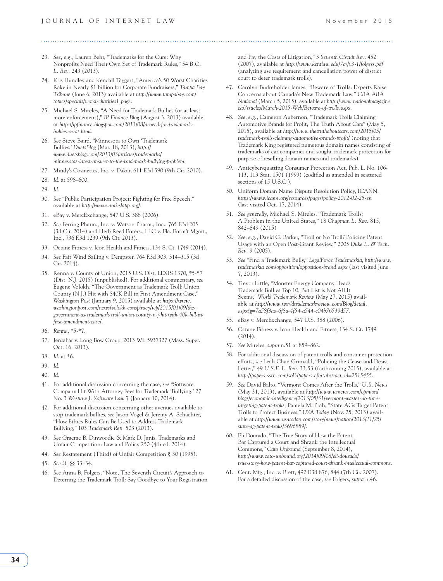#### 

- 23. *See*, *e.g.*, Lauren Behr, "Trademarks for the Cure: Why Nonprofits Need Their Own Set of Trademark Rules," 54 *B.C. L. Rev.* 243 (2013).
- 24. Kris Hundley and Kendall Taggart, "America's 50 Worst Charities Rake in Nearly \$1 billion for Corporate Fundraisers," *Tampa Bay Tribune* (June 6, 2013) available at *http://www.tampabay.com/ topics/specials/worst-charities1.page*.
- 25. Michael S. Mireles, "A Need for Trademark Bullies (or at least more enforcement)," *IP Finance Blog* (August 3, 2013) available at *http://ipfinance.blogspot.com/2013/08/a-need-for-trademarkbullies-or-at.html*.
- 26. *See* Steve Baird, "Minnesota to Own 'Trademark Bullies,' *DuetsBlog* (Mar. 18, 2013), *http:// www.duetsblog.com/2013/03/articles/trademarks/ minnesotas-latest-answer-to-the-trademark-bullying-problem*.
- 27. Mindy's Cosmetics, Inc. v. Dakar, 611 F.3d 590 (9th Cir. 2010).
- 28. *Id*. at 598–600.
- 29. *Id*.
- 30. *See* "Public Participation Project: Fighting for Free Speech," available at *http://www.anti-slapp.org/*.
- 31. eBay v. MercExchange, 547 U.S. 388 (2006).
- 32. *See* Ferring Pharm., Inc. v. Watson Pharm., Inc., 765 F.3d 205 (3d Cir. 2014) and Herb Reed Enters., LLC v. Fla. Entm't Mgmt., Inc., 736 F.3d 1239 (9th Cir. 2013).
- 33. Octane Fitness v. Icon Health and Fitness, 134 S. Ct. 1749 (2014).
- 34. *See* Fair Wind Sailing v. Dempster, 764 F.3d 303, 314–315 (3d Cir. 2014).
- 35. Renna v. County of Union, 2015 U.S. Dist. LEXIS 1370, \*5-\*7 (Dist. N.J. 2015) (unpublished). For additional commentary, *see* Eugene Volokh, "The Government as Trademark Troll: Union County (N.J.) Hit with \$40K Bill in First Amendment Case," *Washington Post* (January 9, 2015) available at *https://www. washingtonpost.com/news/volokh-conspiracy/wp/2015/01/09/thegovernment-as-trademark-troll-union-county-n-j-hit-with-40k-bill-infirst-amendment-case/*.
- 36. *Renna*, \*5-\*7.
- 37. Jenzabar v. Long Bow Group, 2013 WL 5937327 (Mass. Super. Oct. 16, 2013).
- 38. *Id*. at \*6.
- 39. *Id*.
- 40. *Id*.
- 41. For additional discussion concerning the case, *see* "Software Company Hit With Attorney Fees for Trademark 'Bullying,' 27 No. 3 *Westlaw J. Software Law* 7 (January 10, 2014).
- 42. For additional discussion concerning other avenues available to stop trademark bullies, *see* Jason Vogel & Jeremy A. Schachter, "How Ethics Rules Can Be Used to Address Trademark Bullying," 103 *Trademark Rep.* 503 (2013).
- 43. *See* Graeme B. Dinwoodie & Mark D. Janis, Trademarks and Unfair Competition: Law and Policy 250 (4th ed. 2014).
- 44. *See* Restatement (Third) of Unfair Competition § 30 (1995).
- 45. *See id*. §§ 33–34.
- 46. *See* Anna B. Folgers, "Note, The Seventh Circuit's Approach to Deterring the Trademark Troll: Say Goodbye to Your Registration

and Pay the Costs of Litigation," 3 *Seventh Circuit Rev*. 452 (2007), available at *http://www.kentlaw.edu/7cr/v3-1/folgers.pdf* (analyzing use requirement and cancellation power of district court to deter trademark trolls).

- 47. Carolyn Burkeholder James, "Beware of Trolls: Experts Raise Concerns about Canada's New Trademark Law," *CBA ABA National* (March 5, 2015), available at *http://www.nationalmagazine. ca/Articles/March-2015-Web/Beware-of-trolls.aspx*.
- 48. *See*, *e.g.*, Cameron Aubernon, "Trademark Trolls Claiming Automotive Brands for Profit, The Truth About Cars" (May 5, 2015), available at *http://www.thetruthaboutcars.com/2015/05/ trademark-trolls-claiming-automotive-brands-profit/* (noting that Trademark King registered numerous domain names consisting of trademarks of car companies and sought trademark protection for purpose of reselling domain names and trademarks).
- 49. Anticybersquatting Consumer Protection Act, Pub. L. No. 106- 113, 113 Stat. 1501 (1999) (codified as amended in scattered sections of 15 U.S.C.).
- 50. Uniform Doman Name Dispute Resolution Policy, ICANN, *https://www.icann.org/resources/pages/policy-2012-02-25-en* (last visited Oct. 17, 2014).
- 51. *See generally*, Michael S. Mireles, "Trademark Trolls: A Problem in the United States," 18 *Chapman L. Rev.* 815, 842–849 (2015)
- 52. *See*, *e.g.*, David G. Barker, "Troll or No Troll? Policing Patent Usage with an Open Post-Grant Review," 2005 *Duke L. & Tech. Rev.* 9 (2005).
- 53. *See* "Find a Trademark Bully," *LegalForce Trademarkia*, *http://www. trademarkia.com/opposition/opposition-brand.aspx* (last visited June 7, 2013).
- 54. Trevor Little, "Monster Energy Company Heads Trademark Bullies Top 10, But List is Not All It Seems," *World Trademark Review* (May 27, 2015) available at *http://www.worldtrademarkreview.com/Blog/detail. aspx?g=7a58f3aa-6f8a-4f54-a544-c04b76539d57*.
- 55. eBay v. MercExchange, 547 U.S. 388 (2006).
- 56. Octane Fitness v. Icon Health and Fitness, 134 S. Ct. 1749 (2014).
- 57. *See* Mireles, *supra* n.51 at 859–862.
- 58. For additional discussion of patent trolls and consumer protection efforts, *see* Leah Chan Grinvald, "Policing the Cease-and-Desist Letter," 49 *U.S.F. L. Rev.* 33-53 (forthcoming 2015), available at *http://papers.ssrn.com/sol3/papers.cfm?abstract\_id=2515455*.
- 59. *See* David Balto, "Vermont Comes After the Trolls," *U.S. News*  (May 31, 2013), available at *http://www.usnews.com/opinion/ blogs/economic-intelligence/2013/05/31/vermont-wastes-no-timetargeting-patent-trolls*; Pamela M. Prah, "State AGs Target Patent Trolls to Protect Business," *USA Today* (Nov. 25, 2013) available at *http://www.usatoday.com/story/news/nation/2013/11/25/ state-ag-patent-trolls/3696889/*.
- 60. Eli Dourado, "The True Story of How the Patent Bar Captured a Court and Shrank the Intellectual Commons," *Cato Unbound* (September 8, 2014), *http://www.cato-unbound.org/2014/09/08/eli-dourado/ true-story-how-patent-bar-captured-court-shrank-intellectual-commons*.
- 61. Cent. Mfg., Inc. v. Brett, 492 F.3d 876, 844 (7th Cir. 2007). For a detailed discussion of the case, *see* Folgers, *supra* n.46.